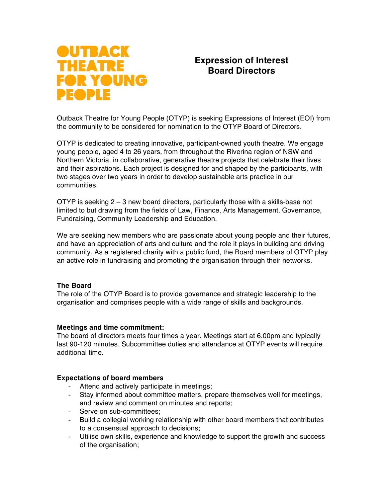

# **Expression of Interest Board Directors**

Outback Theatre for Young People (OTYP) is seeking Expressions of Interest (EOI) from the community to be considered for nomination to the OTYP Board of Directors.

OTYP is dedicated to creating innovative, participant-owned youth theatre. We engage young people, aged 4 to 26 years, from throughout the Riverina region of NSW and Northern Victoria, in collaborative, generative theatre projects that celebrate their lives and their aspirations. Each project is designed for and shaped by the participants, with two stages over two years in order to develop sustainable arts practice in our communities.

OTYP is seeking 2 – 3 new board directors, particularly those with a skills-base not limited to but drawing from the fields of Law, Finance, Arts Management, Governance, Fundraising, Community Leadership and Education.

We are seeking new members who are passionate about young people and their futures, and have an appreciation of arts and culture and the role it plays in building and driving community. As a registered charity with a public fund, the Board members of OTYP play an active role in fundraising and promoting the organisation through their networks.

## **The Board**

The role of the OTYP Board is to provide governance and strategic leadership to the organisation and comprises people with a wide range of skills and backgrounds.

#### **Meetings and time commitment:**

The board of directors meets four times a year. Meetings start at 6.00pm and typically last 90-120 minutes. Subcommittee duties and attendance at OTYP events will require additional time.

#### **Expectations of board members**

- Attend and actively participate in meetings;
- Stay informed about committee matters, prepare themselves well for meetings, and review and comment on minutes and reports;
- Serve on sub-committees;
- Build a collegial working relationship with other board members that contributes to a consensual approach to decisions;
- Utilise own skills, experience and knowledge to support the growth and success of the organisation;